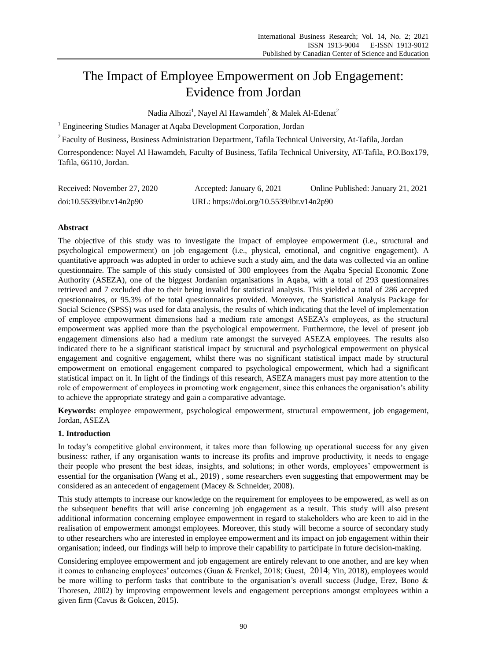# The Impact of Employee Empowerment on Job Engagement: Evidence from Jordan

Nadia Alhozi<sup>1</sup>, Nayel Al Hawamdeh<sup>2</sup>, & Malek Al-Edenat<sup>2</sup>

<sup>1</sup> Engineering Studies Manager at Aqaba Development Corporation, Jordan

<sup>2</sup> Faculty of Business, Business Administration Department, Tafila Technical University, At-Tafila, Jordan

Correspondence: Nayel Al Hawamdeh, Faculty of Business, Tafila Technical University, AT-Tafila, P.O.Box179, Tafila, 66110, Jordan.

| Received: November 27, 2020 | Accepted: January 6, 2021                 | Online Published: January 21, 2021 |
|-----------------------------|-------------------------------------------|------------------------------------|
| doi:10.5539/ibr.v14n2p90    | URL: https://doi.org/10.5539/ibr.v14n2p90 |                                    |

# **Abstract**

The objective of this study was to investigate the impact of employee empowerment (i.e., structural and psychological empowerment) on job engagement (i.e., physical, emotional, and cognitive engagement). A quantitative approach was adopted in order to achieve such a study aim, and the data was collected via an online questionnaire. The sample of this study consisted of 300 employees from the Aqaba Special Economic Zone Authority (ASEZA), one of the biggest Jordanian organisations in Aqaba, with a total of 293 questionnaires retrieved and 7 excluded due to their being invalid for statistical analysis. This yielded a total of 286 accepted questionnaires, or 95.3% of the total questionnaires provided. Moreover, the Statistical Analysis Package for Social Science (SPSS) was used for data analysis, the results of which indicating that the level of implementation of employee empowerment dimensions had a medium rate amongst ASEZA"s employees, as the structural empowerment was applied more than the psychological empowerment. Furthermore, the level of present job engagement dimensions also had a medium rate amongst the surveyed ASEZA employees. The results also indicated there to be a significant statistical impact by structural and psychological empowerment on physical engagement and cognitive engagement, whilst there was no significant statistical impact made by structural empowerment on emotional engagement compared to psychological empowerment, which had a significant statistical impact on it. In light of the findings of this research, ASEZA managers must pay more attention to the role of empowerment of employees in promoting work engagement, since this enhances the organisation"s ability to achieve the appropriate strategy and gain a comparative advantage.

**Keywords:** employee empowerment, psychological empowerment, structural empowerment, job engagement, Jordan, ASEZA

## **1. Introduction**

In today"s competitive global environment, it takes more than following up operational success for any given business: rather, if any organisation wants to increase its profits and improve productivity, it needs to engage their people who present the best ideas, insights, and solutions; in other words, employees" empowerment is essential for the organisation (Wang et al., 2019) , some researchers even suggesting that empowerment may be considered as an antecedent of engagement (Macey & Schneider, 2008).

This study attempts to increase our knowledge on the requirement for employees to be empowered, as well as on the subsequent benefits that will arise concerning job engagement as a result. This study will also present additional information concerning employee empowerment in regard to stakeholders who are keen to aid in the realisation of empowerment amongst employees. Moreover, this study will become a source of secondary study to other researchers who are interested in employee empowerment and its impact on job engagement within their organisation; indeed, our findings will help to improve their capability to participate in future decision-making.

Considering employee empowerment and job engagement are entirely relevant to one another, and are key when it comes to enhancing employees' outcomes (Guan & Frenkel, 2018; Guest,  $2014$ ; Yin, 2018), employees would be more willing to perform tasks that contribute to the organisation's overall success (Judge, Erez, Bono & Thoresen, 2002) by improving empowerment levels and engagement perceptions amongst employees within a given firm (Cavus & Gokcen, 2015).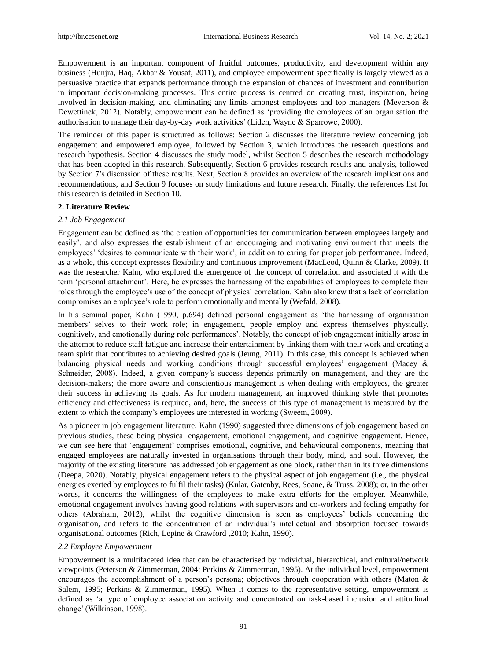Empowerment is an important component of fruitful outcomes, productivity, and development within any business (Hunjra, Haq, Akbar & Yousaf, 2011), and employee empowerment specifically is largely viewed as a persuasive practice that expands performance through the expansion of chances of investment and contribution in important decision-making processes. This entire process is centred on creating trust, inspiration, being involved in decision-making, and eliminating any limits amongst employees and top managers (Meyerson & Dewettinck, 2012). Notably, empowerment can be defined as "providing the employees of an organisation the authorisation to manage their day-by-day work activities" (Liden, Wayne & Sparrowe, 2000).

The reminder of this paper is structured as follows: Section 2 discusses the literature review concerning job engagement and empowered employee, followed by Section 3, which introduces the research questions and research hypothesis. Section 4 discusses the study model, whilst Section 5 describes the research methodology that has been adopted in this research. Subsequently, Section 6 provides research results and analysis, followed by Section 7"s discussion of these results. Next, Section 8 provides an overview of the research implications and recommendations, and Section 9 focuses on study limitations and future research. Finally, the references list for this research is detailed in Section 10.

#### **2. Literature Review**

#### *2.1 Job Engagement*

Engagement can be defined as "the creation of opportunities for communication between employees largely and easily", and also expresses the establishment of an encouraging and motivating environment that meets the employees' 'desires to communicate with their work', in addition to caring for proper job performance. Indeed, as a whole, this concept expresses flexibility and continuous improvement (MacLeod, Quinn & Clarke, 2009). It was the researcher Kahn, who explored the emergence of the concept of correlation and associated it with the term "personal attachment". Here, he expresses the harnessing of the capabilities of employees to complete their roles through the employee's use of the concept of physical correlation. Kahn also knew that a lack of correlation compromises an employee's role to perform emotionally and mentally (Wefald, 2008).

In his seminal paper, Kahn (1990, p.694) defined personal engagement as "the harnessing of organisation members" selves to their work role; in engagement, people employ and express themselves physically, cognitively, and emotionally during role performances". Notably, the concept of job engagement initially arose in the attempt to reduce staff fatigue and increase their entertainment by linking them with their work and creating a team spirit that contributes to achieving desired goals (Jeung, 2011). In this case, this concept is achieved when balancing physical needs and working conditions through successful employees" engagement (Macey & Schneider, 2008). Indeed, a given company"s success depends primarily on management, and they are the decision-makers; the more aware and conscientious management is when dealing with employees, the greater their success in achieving its goals. As for modern management, an improved thinking style that promotes efficiency and effectiveness is required, and, here, the success of this type of management is measured by the extent to which the company's employees are interested in working (Sweem, 2009).

As a pioneer in job engagement literature, Kahn (1990) suggested three dimensions of job engagement based on previous studies, these being physical engagement, emotional engagement, and cognitive engagement. Hence, we can see here that "engagement" comprises emotional, cognitive, and behavioural components, meaning that engaged employees are naturally invested in organisations through their body, mind, and soul. However, the majority of the existing literature has addressed job engagement as one block, rather than in its three dimensions (Deepa, 2020). Notably, physical engagement refers to the physical aspect of job engagement (i.e., the physical energies exerted by employees to fulfil their tasks) (Kular, Gatenby, Rees, Soane, & Truss, 2008); or, in the other words, it concerns the willingness of the employees to make extra efforts for the employer. Meanwhile, emotional engagement involves having good relations with supervisors and co-workers and feeling empathy for others (Abraham, 2012), whilst the cognitive dimension is seen as employees" beliefs concerning the organisation, and refers to the concentration of an individual"s intellectual and absorption focused towards organisational outcomes (Rich, Lepine & Crawford ,2010; Kahn, 1990).

#### *2.2 Employee Empowerment*

Empowerment is a multifaceted idea that can be characterised by individual, hierarchical, and cultural/network viewpoints (Peterson & Zimmerman, 2004; Perkins & Zimmerman, 1995). At the individual level, empowerment encourages the accomplishment of a person's persona; objectives through cooperation with others (Maton & Salem, 1995; Perkins & Zimmerman, 1995). When it comes to the representative setting, empowerment is defined as "a type of employee association activity and concentrated on task-based inclusion and attitudinal change" (Wilkinson, 1998).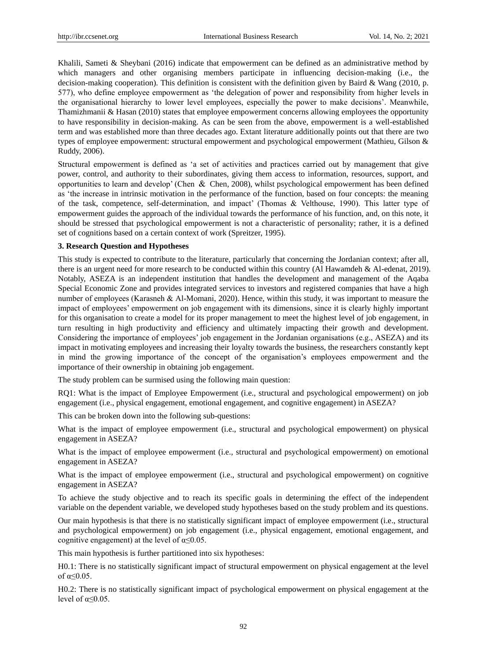Khalili, Sameti & Sheybani (2016) indicate that empowerment can be defined as an administrative method by which managers and other organising members participate in influencing decision-making (i.e., the decision-making cooperation). This definition is consistent with the definition given by Baird & Wang (2010, p. 577), who define employee empowerment as "the delegation of power and responsibility from higher levels in the organisational hierarchy to lower level employees, especially the power to make decisions". Meanwhile, Thamizhmanii & Hasan (2010) states that employee empowerment concerns allowing employees the opportunity to have responsibility in decision-making. As can be seen from the above, empowerment is a well-established term and was established more than three decades ago. Extant literature additionally points out that there are two types of employee empowerment: structural empowerment and psychological empowerment (Mathieu, Gilson & Ruddy, 2006).

Structural empowerment is defined as "a set of activities and practices carried out by management that give power, control, and authority to their subordinates, giving them access to information, resources, support, and opportunities to learn and develop' (Chen  $\&$  Chen, 2008), whilst psychological empowerment has been defined as "the increase in intrinsic motivation in the performance of the function, based on four concepts: the meaning of the task, competence, self-determination, and impact" (Thomas & Velthouse, 1990). This latter type of empowerment guides the approach of the individual towards the performance of his function, and, on this note, it should be stressed that psychological empowerment is not a characteristic of personality; rather, it is a defined set of cognitions based on a certain context of work (Spreitzer, 1995).

#### **3. Research Question and Hypotheses**

This study is expected to contribute to the literature, particularly that concerning the Jordanian context; after all, there is an urgent need for more research to be conducted within this country (Al Hawamdeh & Al-edenat, 2019). Notably, ASEZA is an independent institution that handles the development and management of the Aqaba Special Economic Zone and provides integrated services to investors and registered companies that have a high number of employees (Karasneh & Al-Momani, 2020). Hence, within this study, it was important to measure the impact of employees" empowerment on job engagement with its dimensions, since it is clearly highly important for this organisation to create a model for its proper management to meet the highest level of job engagement, in turn resulting in high productivity and efficiency and ultimately impacting their growth and development. Considering the importance of employees" job engagement in the Jordanian organisations (e.g., ASEZA) and its impact in motivating employees and increasing their loyalty towards the business, the researchers constantly kept in mind the growing importance of the concept of the organisation"s employees empowerment and the importance of their ownership in obtaining job engagement.

The study problem can be surmised using the following main question:

RQ1: What is the impact of Employee Empowerment (i.e., structural and psychological empowerment) on job engagement (i.e., physical engagement, emotional engagement, and cognitive engagement) in ASEZA?

This can be broken down into the following sub-questions:

What is the impact of employee empowerment (i.e., structural and psychological empowerment) on physical engagement in ASEZA?

What is the impact of employee empowerment (i.e., structural and psychological empowerment) on emotional engagement in ASEZA?

What is the impact of employee empowerment (i.e., structural and psychological empowerment) on cognitive engagement in ASEZA?

To achieve the study objective and to reach its specific goals in determining the effect of the independent variable on the dependent variable, we developed study hypotheses based on the study problem and its questions.

Our main hypothesis is that there is no statistically significant impact of employee empowerment (i.e., structural and psychological empowerment) on job engagement (i.e., physical engagement, emotional engagement, and cognitive engagement) at the level of  $\alpha \leq 0.05$ .

This main hypothesis is further partitioned into six hypotheses:

H0.1: There is no statistically significant impact of structural empowerment on physical engagement at the level of α≤0.05.

H0.2: There is no statistically significant impact of psychological empowerment on physical engagement at the level of  $\alpha \leq 0.05$ .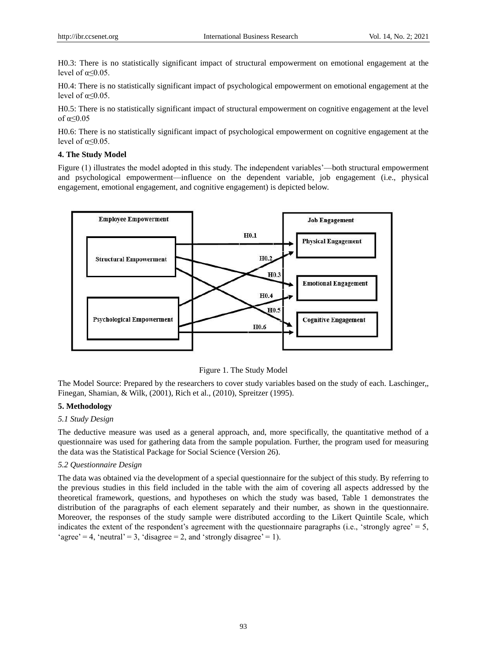H0.3: There is no statistically significant impact of structural empowerment on emotional engagement at the level of  $\alpha \leq 0.05$ .

H0.4: There is no statistically significant impact of psychological empowerment on emotional engagement at the level of  $\alpha \leq 0.05$ .

H0.5: There is no statistically significant impact of structural empowerment on cognitive engagement at the level of  $\alpha \leq 0.05$ 

H0.6: There is no statistically significant impact of psychological empowerment on cognitive engagement at the level of  $\alpha \leq 0.05$ .

#### **4. The Study Model**

Figure (1) illustrates the model adopted in this study. The independent variables"—both structural empowerment and psychological empowerment—influence on the dependent variable, job engagement (i.e., physical engagement, emotional engagement, and cognitive engagement) is depicted below.





The Model Source: Prepared by the researchers to cover study variables based on the study of each. Laschinger,, Finegan, Shamian, & Wilk, (2001), Rich et al., (2010), Spreitzer (1995).

#### **5. Methodology**

#### *5.1 Study Design*

The deductive measure was used as a general approach, and, more specifically, the quantitative method of a questionnaire was used for gathering data from the sample population. Further, the program used for measuring the data was the Statistical Package for Social Science (Version 26).

#### *5.2 Questionnaire Design*

The data was obtained via the development of a special questionnaire for the subject of this study. By referring to the previous studies in this field included in the table with the aim of covering all aspects addressed by the theoretical framework, questions, and hypotheses on which the study was based, Table 1 demonstrates the distribution of the paragraphs of each element separately and their number, as shown in the questionnaire. Moreover, the responses of the study sample were distributed according to the Likert Quintile Scale, which indicates the extent of the respondent's agreement with the questionnaire paragraphs (i.e., 'strongly agree'  $= 5$ , 'agree' = 4, 'neutral' = 3, 'disagree = 2, and 'strongly disagree' = 1).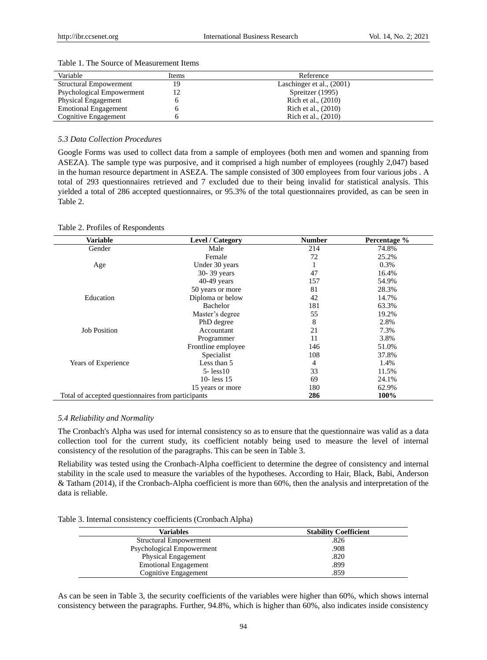| Variable                      | Items | Reference                 |
|-------------------------------|-------|---------------------------|
| <b>Structural Empowerment</b> | 19    | Laschinger et al., (2001) |
| Psychological Empowerment     | 12    | Spreitzer (1995)          |
| <b>Physical Engagement</b>    |       | Rich et al., (2010)       |
| <b>Emotional Engagement</b>   |       | Rich et al., (2010)       |
| Cognitive Engagement          |       | Rich et al., (2010)       |

#### Table 1. The Source of Measurement Items

#### *5.3 Data Collection Procedures*

Google Forms was used to collect data from a sample of employees (both men and women and spanning from ASEZA). The sample type was purposive, and it comprised a high number of employees (roughly 2,047) based in the human resource department in ASEZA. The sample consisted of 300 employees from four various jobs . A total of 293 questionnaires retrieved and 7 excluded due to their being invalid for statistical analysis. This yielded a total of 286 accepted questionnaires, or 95.3% of the total questionnaires provided, as can be seen in Table 2.

|  |  | Table 2. Profiles of Respondents |  |
|--|--|----------------------------------|--|
|--|--|----------------------------------|--|

| <b>Variable</b>                                    | Level / Category   | <b>Number</b> | Percentage % |
|----------------------------------------------------|--------------------|---------------|--------------|
| Gender                                             | Male               | 214           | 74.8%        |
|                                                    | Female             | 72            | 25.2%        |
| Age                                                | Under 30 years     |               | 0.3%         |
|                                                    | 30-39 years        | 47            | 16.4%        |
|                                                    | $40-49$ years      | 157           | 54.9%        |
|                                                    | 50 years or more   | 81            | 28.3%        |
| Education                                          | Diploma or below   | 42            | 14.7%        |
|                                                    | Bachelor           | 181           | 63.3%        |
|                                                    | Master's degree    | 55            | 19.2%        |
|                                                    | PhD degree         | 8             | 2.8%         |
| <b>Job Position</b>                                | Accountant         | 21            | 7.3%         |
|                                                    | Programmer         | 11            | 3.8%         |
|                                                    | Frontline employee | 146           | 51.0%        |
|                                                    | Specialist         | 108           | 37.8%        |
| Years of Experience                                | Less than 5        | 4             | 1.4%         |
|                                                    | $5 - less10$       | 33            | 11.5%        |
|                                                    | 10-less $15$       | 69            | 24.1%        |
|                                                    | 15 years or more   | 180           | 62.9%        |
| Total of accepted questionnaires from participants |                    | 286           | 100%         |

#### *5.4 Reliability and Normality*

The Cronbach's Alpha was used for internal consistency so as to ensure that the questionnaire was valid as a data collection tool for the current study, its coefficient notably being used to measure the level of internal consistency of the resolution of the paragraphs. This can be seen in Table 3.

Reliability was tested using the Cronbach-Alpha coefficient to determine the degree of consistency and internal stability in the scale used to measure the variables of the hypotheses. According to Hair, Black, Babi, Anderson & Tatham (2014), if the Cronbach-Alpha coefficient is more than 60%, then the analysis and interpretation of the data is reliable.

| Table 3. Internal consistency coefficients (Cronbach Alpha) |
|-------------------------------------------------------------|
|-------------------------------------------------------------|

| <b>Variables</b>              | <b>Stability Coefficient</b> |
|-------------------------------|------------------------------|
| <b>Structural Empowerment</b> | .826                         |
| Psychological Empowerment     | .908                         |
| <b>Physical Engagement</b>    | .820                         |
| <b>Emotional Engagement</b>   | .899                         |
| Cognitive Engagement          | .859                         |

As can be seen in Table 3, the security coefficients of the variables were higher than 60%, which shows internal consistency between the paragraphs. Further, 94.8%, which is higher than 60%, also indicates inside consistency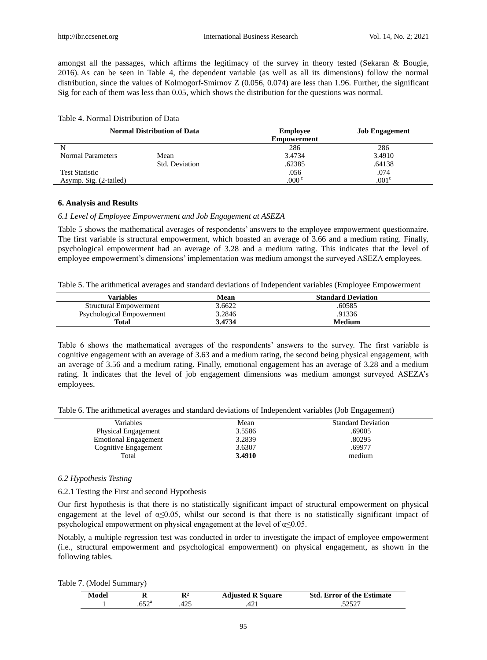amongst all the passages, which affirms the legitimacy of the survey in theory tested (Sekaran & Bougie, 2016). As can be seen in Table 4, the dependent variable (as well as all its dimensions) follow the normal distribution, since the values of Kolmogorf-Smirnov Z (0.056, 0.074) are less than 1.96. Further, the significant Sig for each of them was less than 0.05, which shows the distribution for the questions was normal.

#### Table 4. Normal Distribution of Data

| <b>Normal Distribution of Data</b> |                | <b>Employee</b><br><b>Empowerment</b> | <b>Job Engagement</b> |
|------------------------------------|----------------|---------------------------------------|-----------------------|
|                                    |                | 286                                   | 286                   |
| Normal Parameters                  | Mean           | 3.4734                                | 3.4910                |
|                                    | Std. Deviation | .62385                                | .64138                |
| <b>Test Statistic</b>              |                | .056                                  | .074                  |
| Asymp. Sig. (2-tailed)             |                | $.000 \degree$                        | .001 <sup>c</sup>     |

#### **6. Analysis and Results**

#### *6.1 Level of Employee Empowerment and Job Engagement at ASEZA*

Table 5 shows the mathematical averages of respondents" answers to the employee empowerment questionnaire. The first variable is structural empowerment, which boasted an average of 3.66 and a medium rating. Finally, psychological empowerment had an average of 3.28 and a medium rating. This indicates that the level of employee empowerment"s dimensions" implementation was medium amongst the surveyed ASEZA employees.

Table 5. The arithmetical averages and standard deviations of Independent variables (Employee Empowerment

| Variables                     | Mean   | <b>Standard Deviation</b> |
|-------------------------------|--------|---------------------------|
| <b>Structural Empowerment</b> | 3.6622 | .60585                    |
| Psychological Empowerment     | 3.2846 | .91336                    |
| <b>Total</b>                  | 3.4734 | <b>Medium</b>             |

Table 6 shows the mathematical averages of the respondents" answers to the survey. The first variable is cognitive engagement with an average of 3.63 and a medium rating, the second being physical engagement, with an average of 3.56 and a medium rating. Finally, emotional engagement has an average of 3.28 and a medium rating. It indicates that the level of job engagement dimensions was medium amongst surveyed ASEZA"s employees.

Table 6. The arithmetical averages and standard deviations of Independent variables (Job Engagement)

| Variables                   | Mean   | <b>Standard Deviation</b> |  |
|-----------------------------|--------|---------------------------|--|
| <b>Physical Engagement</b>  | 3.5586 | .69005                    |  |
| <b>Emotional Engagement</b> | 3.2839 | .80295                    |  |
| Cognitive Engagement        | 3.6307 | .69977                    |  |
| Total                       | 3.4910 | medium                    |  |
|                             |        |                           |  |

#### *6.2 Hypothesis Testing*

6.2.1 Testing the First and second Hypothesis

Our first hypothesis is that there is no statistically significant impact of structural empowerment on physical engagement at the level of α≤0.05, whilst our second is that there is no statistically significant impact of psychological empowerment on physical engagement at the level of  $\alpha \le 0.05$ .

Notably, a multiple regression test was conducted in order to investigate the impact of employee empowerment (i.e., structural empowerment and psychological empowerment) on physical engagement, as shown in the following tables.

| Modo |     | D<br>к.              | sanare<br>ameted . | <b>Estimate</b><br>Std<br>trror of the t |
|------|-----|----------------------|--------------------|------------------------------------------|
|      | rnä | $\sim$ $\sim$<br>⊤∠J | т∠ д               | -----                                    |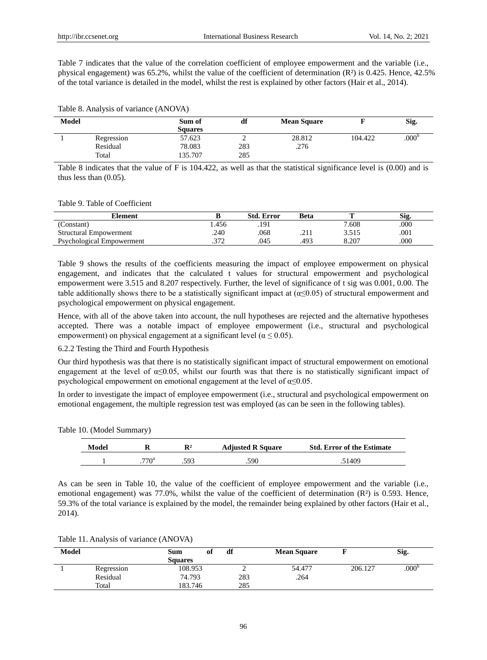Table 7 indicates that the value of the correlation coefficient of employee empowerment and the variable (i.e., physical engagement) was 65.2%, whilst the value of the coefficient of determination (R  $\frac{3}{18}$  is 0.425. Hence, 42.5% of the total variance is detailed in the model, whilst the rest is explained by other factors (Hair et al., 2014).

| Model |            | Sum of         | df  | <b>Mean Square</b> |         | Sig.              |
|-------|------------|----------------|-----|--------------------|---------|-------------------|
|       |            | <b>Squares</b> |     |                    |         |                   |
|       | Regression | 57.623         | ∸   | 28.812             | 104.422 | .000 <sup>b</sup> |
|       | Residual   | 78.083         | 283 | .276               |         |                   |
|       | Total      | 135.707        | 285 |                    |         |                   |

Table 8 indicates that the value of F is 104.422, as well as that the statistical significance level is (0.00) and is thus less than (0.05).

Table 9. Table of Coefficient

| Element                       |       | Std. Error | Beta |       | Sig. |
|-------------------------------|-------|------------|------|-------|------|
| (Constant)                    | . 456 | .191       |      | 7.608 | 000  |
| <b>Structural Empowerment</b> | .240  | .068       | . 41 | 3.515 | .001 |
| Psychological Empowerment     | ריר   | .045       | 493  | 8.207 | 000  |

Table 9 shows the results of the coefficients measuring the impact of employee empowerment on physical engagement, and indicates that the calculated t values for structural empowerment and psychological empowerment were 3.515 and 8.207 respectively. Further, the level of significance of t sig was 0.001, 0.00. The table additionally shows there to be a statistically significant impact at ( $\alpha \leq 0.05$ ) of structural empowerment and psychological empowerment on physical engagement.

Hence, with all of the above taken into account, the null hypotheses are rejected and the alternative hypotheses accepted. There was a notable impact of employee empowerment (i.e., structural and psychological empowerment) on physical engagement at a significant level ( $\alpha \le 0.05$ ).

#### 6.2.2 Testing the Third and Fourth Hypothesis

Our third hypothesis was that there is no statistically significant impact of structural empowerment on emotional engagement at the level of  $\alpha \le 0.05$ , whilst our fourth was that there is no statistically significant impact of psychological empowerment on emotional engagement at the level of  $\alpha \le 0.05$ .

In order to investigate the impact of employee empowerment (i.e., structural and psychological empowerment on emotional engagement, the multiple regression test was employed (as can be seen in the following tables).

Table 10. (Model Summary)

| Model |                  | $\mathbf{R}^{2}$ | <b>Adjusted R Square</b> | <b>Std. Error of the Estimate</b> |
|-------|------------------|------------------|--------------------------|-----------------------------------|
|       | 770 <sup>a</sup> | 593              | .590                     | .51409                            |

As can be seen in Table 10, the value of the coefficient of employee empowerment and the variable (i.e., emotional engagement) was 77.0%, whilst the value of the coefficient of determination  $(R<sup>3</sup>)$  is 0.593. Hence, 59.3% of the total variance is explained by the model, the remainder being explained by other factors (Hair et al., 2014).

|  |  | Table 11. Analysis of variance (ANOVA) |  |
|--|--|----------------------------------------|--|
|--|--|----------------------------------------|--|

| Model |                   | of<br>Sum<br><b>Squares</b> | df         | <b>Mean Square</b> |         | Sig.              |
|-------|-------------------|-----------------------------|------------|--------------------|---------|-------------------|
|       | Regression        | 108.953                     | -          | 54.477             | 206.127 | .000 <sup>b</sup> |
|       | Residual<br>Total | 74.793<br>183.746           | 283<br>285 | .264               |         |                   |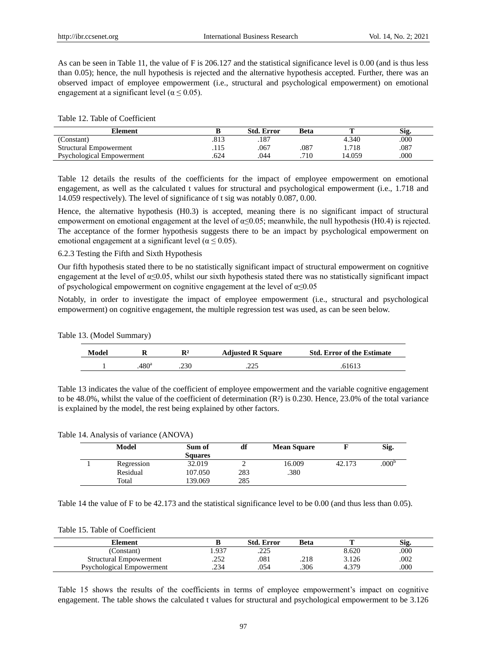As can be seen in Table 11, the value of F is 206.127 and the statistical significance level is 0.00 (and is thus less than 0.05); hence, the null hypothesis is rejected and the alternative hypothesis accepted. Further, there was an observed impact of employee empowerment (i.e., structural and psychological empowerment) on emotional engagement at a significant level ( $\alpha \le 0.05$ ).

Table 12. Table of Coefficient

| Element                       |      | Std. Error | Beta |        | Sig  |
|-------------------------------|------|------------|------|--------|------|
| (Constant)                    | .813 | .187       |      | 4.340  | .000 |
| <b>Structural Empowerment</b> |      | .067       | .087 | 1.718  | .087 |
| Psychological Empowerment     | .624 | .044       | 710  | 14.059 | .000 |

Table 12 details the results of the coefficients for the impact of employee empowerment on emotional engagement, as well as the calculated t values for structural and psychological empowerment (i.e., 1.718 and 14.059 respectively). The level of significance of t sig was notably 0.087, 0.00.

Hence, the alternative hypothesis (H0.3) is accepted, meaning there is no significant impact of structural empowerment on emotional engagement at the level of  $\alpha \le 0.05$ ; meanwhile, the null hypothesis (H0.4) is rejected. The acceptance of the former hypothesis suggests there to be an impact by psychological empowerment on emotional engagement at a significant level ( $\alpha \le 0.05$ ).

6.2.3 Testing the Fifth and Sixth Hypothesis

Our fifth hypothesis stated there to be no statistically significant impact of structural empowerment on cognitive engagement at the level of  $\alpha \le 0.05$ , whilst our sixth hypothesis stated there was no statistically significant impact of psychological empowerment on cognitive engagement at the level of α≤0.05

Notably, in order to investigate the impact of employee empowerment (i.e., structural and psychological empowerment) on cognitive engagement, the multiple regression test was used, as can be seen below.

|  | Table 13. (Model Summary) |
|--|---------------------------|
|--|---------------------------|

| Model |                  | $\mathbf{P}$ 2 | <b>Adjusted R Square</b> | <b>Std. Error of the Estimate</b> |
|-------|------------------|----------------|--------------------------|-----------------------------------|
|       | 480 <sup>a</sup> | .230           | າາເ                      | .6161 <sup>°</sup>                |

Table 13 indicates the value of the coefficient of employee empowerment and the variable cognitive engagement to be 48.0%, whilst the value of the coefficient of determination  $(R<sub>3</sub>)$  is 0.230. Hence, 23.0% of the total variance is explained by the model, the rest being explained by other factors.

Table 14. Analysis of variance (ANOVA)

| Model      | Sum of<br><b>Squares</b> | df  | <b>Mean Square</b> |        | Sig.              |
|------------|--------------------------|-----|--------------------|--------|-------------------|
| Regression | 32.019                   |     | 16.009             | 42.173 | .000 <sup>o</sup> |
| Residual   | 107.050                  | 283 | .380               |        |                   |
| Total      | 139.069                  | 285 |                    |        |                   |

Table 14 the value of F to be 42.173 and the statistical significance level to be 0.00 (and thus less than 0.05).

|  |  | Table 15. Table of Coefficient |
|--|--|--------------------------------|
|--|--|--------------------------------|

| Element                       | D    | <b>Std. Error</b> | Beta | m     | Sig. |
|-------------------------------|------|-------------------|------|-------|------|
| Constant)                     | .937 | າາເ<br>ر ے ے .    |      | 8.620 | .000 |
| <b>Structural Empowerment</b> | .252 | .081              | .218 | 3.126 | 002  |
| Psychological Empowerment     | .234 | .054              | .306 | 4.379 | .000 |

Table 15 shows the results of the coefficients in terms of employee empowerment's impact on cognitive engagement. The table shows the calculated t values for structural and psychological empowerment to be 3.126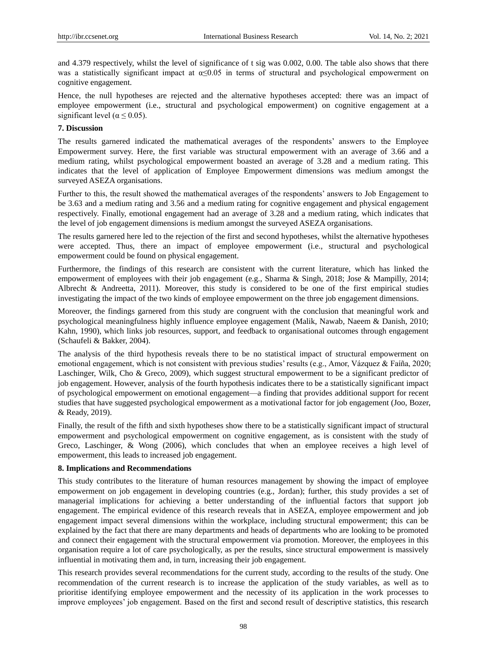and 4.379 respectively, whilst the level of significance of t sig was 0.002, 0.00. The table also shows that there was a statistically significant impact at α≤0.05 in terms of structural and psychological empowerment on cognitive engagement.

Hence, the null hypotheses are rejected and the alternative hypotheses accepted: there was an impact of employee empowerment (i.e., structural and psychological empowerment) on cognitive engagement at a significant level ( $\alpha \leq 0.05$ ).

# **7. Discussion**

The results garnered indicated the mathematical averages of the respondents" answers to the Employee Empowerment survey. Here, the first variable was structural empowerment with an average of 3.66 and a medium rating, whilst psychological empowerment boasted an average of 3.28 and a medium rating. This indicates that the level of application of Employee Empowerment dimensions was medium amongst the surveyed ASEZA organisations.

Further to this, the result showed the mathematical averages of the respondents" answers to Job Engagement to be 3.63 and a medium rating and 3.56 and a medium rating for cognitive engagement and physical engagement respectively. Finally, emotional engagement had an average of 3.28 and a medium rating, which indicates that the level of job engagement dimensions is medium amongst the surveyed ASEZA organisations.

The results garnered here led to the rejection of the first and second hypotheses, whilst the alternative hypotheses were accepted. Thus, there an impact of employee empowerment (i.e., structural and psychological empowerment could be found on physical engagement.

Furthermore, the findings of this research are consistent with the current literature, which has linked the empowerment of employees with their job engagement (e.g., Sharma & Singh, 2018; Jose & Mampilly, 2014; Albrecht & Andreetta, 2011). Moreover, this study is considered to be one of the first empirical studies investigating the impact of the two kinds of employee empowerment on the three job engagement dimensions.

Moreover, the findings garnered from this study are congruent with the conclusion that meaningful work and psychological meaningfulness highly influence employee engagement (Malik, Nawab, Naeem & Danish, 2010; Kahn, 1990), which links job resources, support, and feedback to organisational outcomes through engagement (Schaufeli & Bakker, 2004).

The analysis of the third hypothesis reveals there to be no statistical impact of structural empowerment on emotional engagement, which is not consistent with previous studies' results (e.g., Amor, Vázquez & Faíña, 2020; Laschinger, Wilk, Cho & Greco, 2009), which suggest structural empowerment to be a significant predictor of job engagement. However, analysis of the fourth hypothesis indicates there to be a statistically significant impact of psychological empowerment on emotional engagement—a finding that provides additional support for recent studies that have suggested psychological empowerment as a motivational factor for job engagement (Joo, Bozer, & Ready, 2019).

Finally, the result of the fifth and sixth hypotheses show there to be a statistically significant impact of structural empowerment and psychological empowerment on cognitive engagement, as is consistent with the study of Greco, Laschinger, & Wong (2006), which concludes that when an employee receives a high level of empowerment, this leads to increased job engagement.

## **8. Implications and Recommendations**

This study contributes to the literature of human resources management by showing the impact of employee empowerment on job engagement in developing countries (e.g., Jordan); further, this study provides a set of managerial implications for achieving a better understanding of the influential factors that support job engagement. The empirical evidence of this research reveals that in ASEZA, employee empowerment and job engagement impact several dimensions within the workplace, including structural empowerment; this can be explained by the fact that there are many departments and heads of departments who are looking to be promoted and connect their engagement with the structural empowerment via promotion. Moreover, the employees in this organisation require a lot of care psychologically, as per the results, since structural empowerment is massively influential in motivating them and, in turn, increasing their job engagement.

This research provides several recommendations for the current study, according to the results of the study. One recommendation of the current research is to increase the application of the study variables, as well as to prioritise identifying employee empowerment and the necessity of its application in the work processes to improve employees" job engagement. Based on the first and second result of descriptive statistics, this research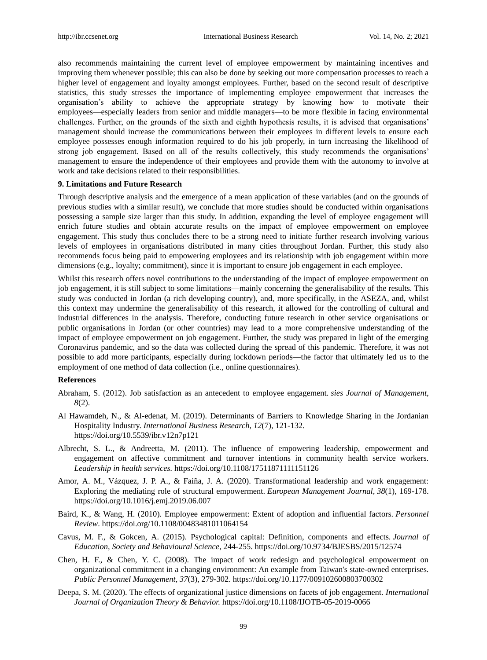also recommends maintaining the current level of employee empowerment by maintaining incentives and improving them whenever possible; this can also be done by seeking out more compensation processes to reach a higher level of engagement and loyalty amongst employees. Further, based on the second result of descriptive statistics, this study stresses the importance of implementing employee empowerment that increases the organisation"s ability to achieve the appropriate strategy by knowing how to motivate their employees—especially leaders from senior and middle managers—to be more flexible in facing environmental challenges. Further, on the grounds of the sixth and eighth hypothesis results, it is advised that organisations" management should increase the communications between their employees in different levels to ensure each employee possesses enough information required to do his job properly, in turn increasing the likelihood of strong job engagement. Based on all of the results collectively, this study recommends the organisations" management to ensure the independence of their employees and provide them with the autonomy to involve at work and take decisions related to their responsibilities.

#### **9. Limitations and Future Research**

Through descriptive analysis and the emergence of a mean application of these variables (and on the grounds of previous studies with a similar result), we conclude that more studies should be conducted within organisations possessing a sample size larger than this study. In addition, expanding the level of employee engagement will enrich future studies and obtain accurate results on the impact of employee empowerment on employee engagement. This study thus concludes there to be a strong need to initiate further research involving various levels of employees in organisations distributed in many cities throughout Jordan. Further, this study also recommends focus being paid to empowering employees and its relationship with job engagement within more dimensions (e.g., loyalty; commitment), since it is important to ensure job engagement in each employee.

Whilst this research offers novel contributions to the understanding of the impact of employee empowerment on job engagement, it is still subject to some limitations—mainly concerning the generalisability of the results. This study was conducted in Jordan (a rich developing country), and, more specifically, in the ASEZA, and, whilst this context may undermine the generalisability of this research, it allowed for the controlling of cultural and industrial differences in the analysis. Therefore, conducting future research in other service organisations or public organisations in Jordan (or other countries) may lead to a more comprehensive understanding of the impact of employee empowerment on job engagement. Further, the study was prepared in light of the emerging Coronavirus pandemic, and so the data was collected during the spread of this pandemic. Therefore, it was not possible to add more participants, especially during lockdown periods—the factor that ultimately led us to the employment of one method of data collection (i.e., online questionnaires).

#### **References**

- Abraham, S. (2012). Job satisfaction as an antecedent to employee engagement. *sies Journal of Management*, *8*(2).
- Al Hawamdeh, N., & Al-edenat, M. (2019). Determinants of Barriers to Knowledge Sharing in the Jordanian Hospitality Industry. *International Business Research, 12*(7), 121-132. https://doi.org/10.5539/ibr.v12n7p121
- Albrecht, S. L., & Andreetta, M. (2011). The influence of empowering leadership, empowerment and engagement on affective commitment and turnover intentions in community health service workers. *Leadership in health services.* https://doi.org/10.1108/17511871111151126
- Amor, A. M., Vázquez, J. P. A., & Faíña, J. A. (2020). Transformational leadership and work engagement: Exploring the mediating role of structural empowerment. *European Management Journal*, *38*(1), 169-178. https://doi.org/10.1016/j.emj.2019.06.007
- Baird, K., & Wang, H. (2010). Employee empowerment: Extent of adoption and influential factors. *Personnel Review*. https://doi.org/10.1108/00483481011064154
- Cavus, M. F., & Gokcen, A. (2015). Psychological capital: Definition, components and effects. *Journal of Education, Society and Behavioural Science*, 244-255. https://doi.org/10.9734/BJESBS/2015/12574
- Chen, H. F., & Chen, Y. C. (2008). The impact of work redesign and psychological empowerment on organizational commitment in a changing environment: An example from Taiwan's state-owned enterprises. *Public Personnel Management*, *37*(3), 279-302. https://doi.org/10.1177/009102600803700302
- Deepa, S. M. (2020). The effects of organizational justice dimensions on facets of job engagement*. International Journal of Organization Theory & Behavior.* https://doi.org/10.1108/IJOTB-05-2019-0066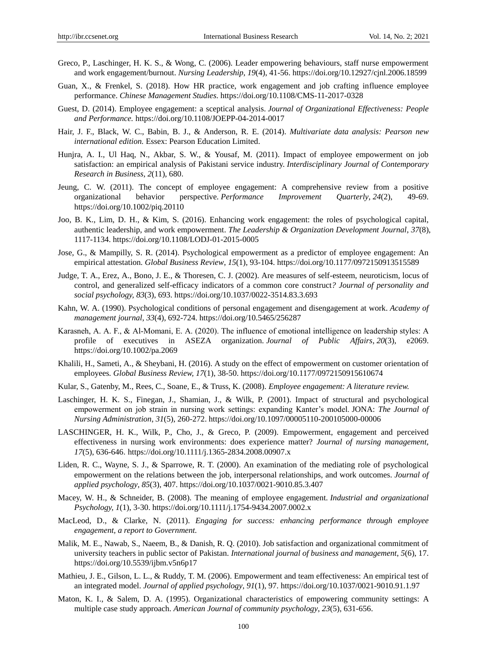- Greco, P., Laschinger, H. K. S., & Wong, C. (2006). Leader empowering behaviours, staff nurse empowerment and work engagement/burnout. *Nursing Leadership*, *19*(4), 41-56. https://doi.org/10.12927/cjnl.2006.18599
- Guan, X., & Frenkel, S. (2018). How HR practice, work engagement and job crafting influence employee performance. *Chinese Management Studies*. https://doi.org/10.1108/CMS-11-2017-0328
- Guest, D. (2014). Employee engagement: a sceptical analysis. *Journal of Organizational Effectiveness: People and Performance.* https://doi.org/10.1108/JOEPP-04-2014-0017
- Hair, J. F., Black, W. C., Babin, B. J., & Anderson, R. E. (2014). *Multivariate data analysis: Pearson new international edition.* Essex: Pearson Education Limited.
- Hunjra, A. I., Ul Haq, N., Akbar, S. W., & Yousaf, M. (2011). Impact of employee empowerment on job satisfaction: an empirical analysis of Pakistani service industry. *Interdisciplinary Journal of Contemporary Research in Business*, *2*(11), 680.
- Jeung, C. W. (2011). The concept of employee engagement: A comprehensive review from a positive organizational behavior perspective. *Performance Improvement Quarterly*, *24*(2), 49-69. https://doi.org/10.1002/piq.20110
- Joo, B. K., Lim, D. H., & Kim, S. (2016). Enhancing work engagement: the roles of psychological capital, authentic leadership, and work empowerment. *The Leadership & Organization Development Journal*, *37*(8), 1117-1134. https://doi.org/10.1108/LODJ-01-2015-0005
- Jose, G., & Mampilly, S. R. (2014). Psychological empowerment as a predictor of employee engagement: An empirical attestation*. Global Business Review*, *15*(1), 93-104. https://doi.org/10.1177/0972150913515589
- Judge, T. A., Erez, A., Bono, J. E., & Thoresen, C. J. (2002). Are measures of self-esteem, neuroticism, locus of control, and generalized self-efficacy indicators of a common core construct*? Journal of personality and social psychology, 83*(3), 693. https://doi.org/10.1037/0022-3514.83.3.693
- Kahn, W. A. (1990). Psychological conditions of personal engagement and disengagement at work. *Academy of management journal*, *33*(4), 692-724. https://doi.org/10.5465/256287
- Karasneh, A. A. F., & Al-Momani, E. A. (2020). The influence of emotional intelligence on leadership styles: A profile of executives in ASEZA organization. *Journal of Public Affairs*, *20*(3), e2069. https://doi.org/10.1002/pa.2069
- Khalili, H., Sameti, A., & Sheybani, H. (2016). A study on the effect of empowerment on customer orientation of employees*. Global Business Review, 17*(1), 38-50. https://doi.org/10.1177/0972150915610674
- Kular, S., Gatenby, M., Rees, C., Soane, E., & Truss, K. (2008). *Employee engagement: A literature review.*
- Laschinger, H. K. S., Finegan, J., Shamian, J., & Wilk, P. (2001). Impact of structural and psychological empowerment on job strain in nursing work settings: expanding Kanter"s model. JONA: *The Journal of Nursing Administration*, *31*(5), 260-272. https://doi.org/10.1097/00005110-200105000-00006
- LASCHINGER, H. K., Wilk, P., Cho, J., & Greco, P. (2009). Empowerment, engagement and perceived effectiveness in nursing work environments: does experience matter? *Journal of nursing management, 17*(5), 636-646. https://doi.org/10.1111/j.1365-2834.2008.00907.x
- Liden, R. C., Wayne, S. J., & Sparrowe, R. T. (2000). An examination of the mediating role of psychological empowerment on the relations between the job, interpersonal relationships, and work outcomes. *Journal of applied psychology*, *85*(3), 407. https://doi.org/10.1037/0021-9010.85.3.407
- Macey, W. H., & Schneider, B. (2008). The meaning of employee engagement. *Industrial and organizational Psychology, 1*(1), 3-30. https://doi.org/10.1111/j.1754-9434.2007.0002.x
- MacLeod, D., & Clarke, N. (2011). *Engaging for success: enhancing performance through employee engagement, a report to Government.*
- Malik, M. E., Nawab, S., Naeem, B., & Danish, R. Q. (2010). Job satisfaction and organizational commitment of university teachers in public sector of Pakistan. *International journal of business and management*, *5*(6), 17. https://doi.org/10.5539/ijbm.v5n6p17
- Mathieu, J. E., Gilson, L. L., & Ruddy, T. M. (2006). Empowerment and team effectiveness: An empirical test of an integrated model. *Journal of applied psychology*, *91*(1), 97. https://doi.org/10.1037/0021-9010.91.1.97
- Maton, K. I., & Salem, D. A. (1995). Organizational characteristics of empowering community settings: A multiple case study approach. *American Journal of community psychology*, *23*(5), 631-656.